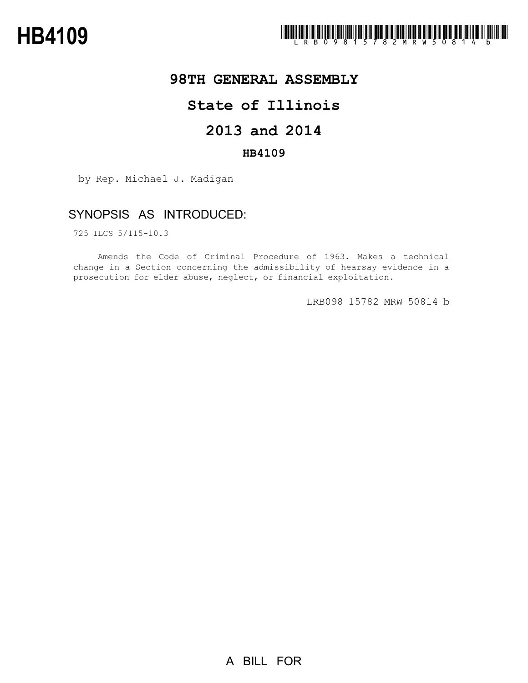

### **98TH GENERAL ASSEMBLY**

# **State of Illinois**

# **2013 and 2014**

### **HB4109**

by Rep. Michael J. Madigan

## SYNOPSIS AS INTRODUCED:

725 ILCS 5/115-10.3

Amends the Code of Criminal Procedure of 1963. Makes a technical change in a Section concerning the admissibility of hearsay evidence in a prosecution for elder abuse, neglect, or financial exploitation.

LRB098 15782 MRW 50814 b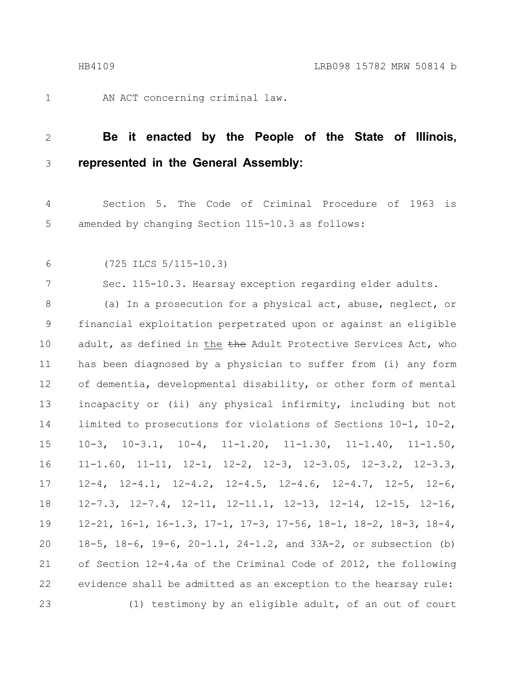AN ACT concerning criminal law.

#### **Be it enacted by the People of the State of Illinois, represented in the General Assembly:** 2 3

Section 5. The Code of Criminal Procedure of 1963 is amended by changing Section 115-10.3 as follows: 4 5

6

7

1

(725 ILCS 5/115-10.3)

Sec. 115-10.3. Hearsay exception regarding elder adults.

(a) In a prosecution for a physical act, abuse, neglect, or financial exploitation perpetrated upon or against an eligible adult, as defined in the the Adult Protective Services Act, who has been diagnosed by a physician to suffer from (i) any form of dementia, developmental disability, or other form of mental incapacity or (ii) any physical infirmity, including but not limited to prosecutions for violations of Sections 10-1, 10-2, 10-3, 10-3.1, 10-4, 11-1.20, 11-1.30, 11-1.40, 11-1.50, 11-1.60, 11-11, 12-1, 12-2, 12-3, 12-3.05, 12-3.2, 12-3.3, 12-4, 12-4.1, 12-4.2, 12-4.5, 12-4.6, 12-4.7, 12-5, 12-6, 12-7.3, 12-7.4, 12-11, 12-11.1, 12-13, 12-14, 12-15, 12-16, 12-21, 16-1, 16-1.3, 17-1, 17-3, 17-56, 18-1, 18-2, 18-3, 18-4, 18-5, 18-6, 19-6, 20-1.1, 24-1.2, and 33A-2, or subsection (b) of Section 12-4.4a of the Criminal Code of 2012, the following evidence shall be admitted as an exception to the hearsay rule: (1) testimony by an eligible adult, of an out of court 8 9 10 11 12 13 14 15 16 17 18 19 20 21 22 23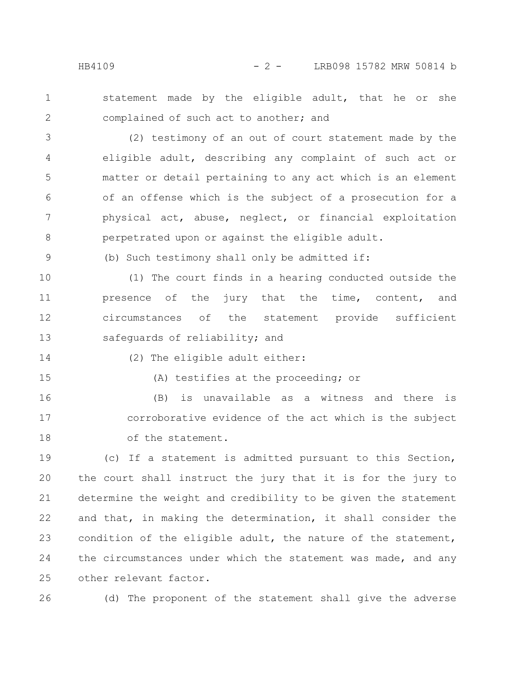1 2 statement made by the eligible adult, that he or she complained of such act to another; and

(2) testimony of an out of court statement made by the eligible adult, describing any complaint of such act or matter or detail pertaining to any act which is an element of an offense which is the subject of a prosecution for a physical act, abuse, neglect, or financial exploitation perpetrated upon or against the eligible adult. 3 4 5 6 7 8

(b) Such testimony shall only be admitted if:

(1) The court finds in a hearing conducted outside the presence of the jury that the time, content, and circumstances of the statement provide sufficient safequards of reliability; and 10 11 12 13

14

9

(2) The eligible adult either:

15

(A) testifies at the proceeding; or

(B) is unavailable as a witness and there is corroborative evidence of the act which is the subject of the statement. 16 17 18

(c) If a statement is admitted pursuant to this Section, the court shall instruct the jury that it is for the jury to determine the weight and credibility to be given the statement and that, in making the determination, it shall consider the condition of the eligible adult, the nature of the statement, the circumstances under which the statement was made, and any other relevant factor. 19 20 21 22 23 24 25

26

(d) The proponent of the statement shall give the adverse